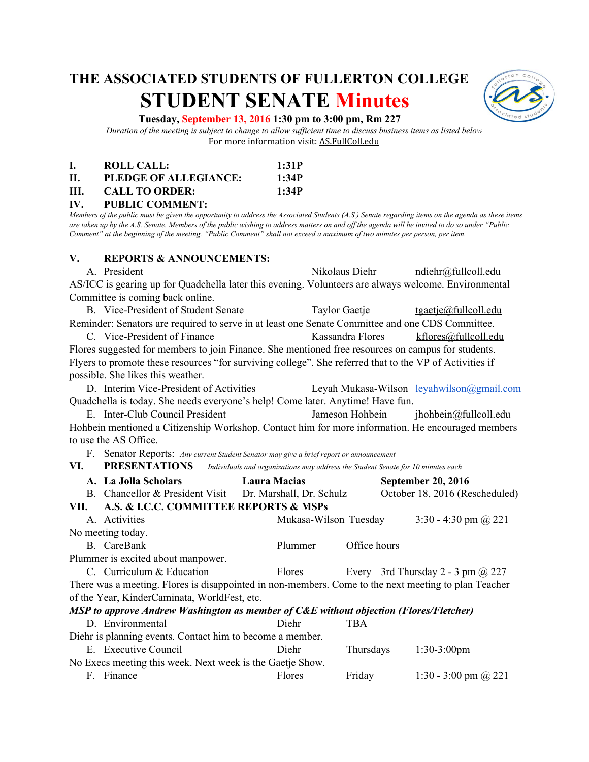# **THE ASSOCIATED STUDENTS OF FULLERTON COLLEGE STUDENT SENATE Minutes**



#### **Tuesday, September 13, 2016 1:30 pm to 3:00 pm, Rm 227**

*Duration of the meeting is subject to change to allow sufficient time to discuss business items as listed below* For more information visit: AS.FullColl.edu

|     | ROLL CALL:            | 1:31P |
|-----|-----------------------|-------|
| H.  | PLEDGE OF ALLEGIANCE: | 1:34P |
| HL. | <b>CALL TO ORDER:</b> | 1:34P |

#### **IV. PUBLIC COMMENT:**

*Members of the public must be given the opportunity to address the Associated Students (A.S.) Senate regarding items on the agenda as these items are taken up by the A.S. Senate. Members of the public wishing to address matters on and off the agenda will be invited to do so under "Public Comment" at the beginning of the meeting. "Public Comment" shall not exceed a maximum of two minutes per person, per item.*

#### **V. REPORTS & ANNOUNCEMENTS:**

A. President Nikolaus Diehr [ndiehr@fullcoll.edu](mailto:ndiehr@fullcoll.edu) AS/ICC is gearing up for Quadchella later this evening. Volunteers are always welcome. Environmental Committee is coming back online. B. Vice-President of Student Senate Taylor Gaetje [tgaetje@fullcoll.edu](mailto:tgaetje@fullcoll.edu) Reminder: Senators are required to serve in at least one Senate Committee and one CDS Committee. C. Vice-President of Finance Kassandra Flores [kflores@fullcoll.edu](mailto:kflores@fullcoll.edu) Flores suggested for members to join Finance. She mentioned free resources on campus for students. Flyers to promote these resources "for surviving college". She referred that to the VP of Activities if possible. She likes this weather. D. Interim Vice-President of Activities Leyah Mukasa-Wilson leyahwilson *agmail.com* Quadchella is today. She needs everyone's help! Come later. Anytime! Have fun. E. Inter-Club Council President Jameson Hohbein jhohbein includedu Hohbein mentioned a Citizenship Workshop. Contact him for more information. He encouraged members to use the AS Office. F. Senator Reports: *Any current Student Senator may give a brief report or announcement*<br>VI. **PRESENTATIONS** *Individuals and organizations may address the Student Senator* Individuals and organizations may address the Student Senate for 10 minutes each **A. La Jolla Scholars Laura Macias September 20, 2016**

|      | $\Delta$ . La Julia Schulats                                                                         | LAULA DIAVIAS         |              | $\mathcal{O}$ chindel 20, 2010           |
|------|------------------------------------------------------------------------------------------------------|-----------------------|--------------|------------------------------------------|
|      | B. Chancellor & President Visit Dr. Marshall, Dr. Schulz                                             |                       |              | October 18, 2016 (Rescheduled)           |
| VII. | A.S. & I.C.C. COMMITTEE REPORTS & MSPs                                                               |                       |              |                                          |
|      | A. Activities                                                                                        | Mukasa-Wilson Tuesday |              | 3:30 - 4:30 pm $\omega$ 221              |
|      | No meeting today.                                                                                    |                       |              |                                          |
|      | B. CareBank                                                                                          | Plummer               | Office hours |                                          |
|      | Plummer is excited about manpower.                                                                   |                       |              |                                          |
|      | C. Curriculum & Education                                                                            | Flores                |              | Every 3rd Thursday 2 - 3 pm $\omega$ 227 |
|      | There was a meeting. Flores is disappointed in non-members. Come to the next meeting to plan Teacher |                       |              |                                          |
|      | of the Year, KinderCaminata, WorldFest, etc.                                                         |                       |              |                                          |
|      | MSP to approve Andrew Washington as member of C&E without objection (Flores/Fletcher)                |                       |              |                                          |
|      | D. Environmental                                                                                     | Diehr                 | <b>TBA</b>   |                                          |
|      | Diehr is planning events. Contact him to become a member.                                            |                       |              |                                          |
|      | E. Executive Council                                                                                 | Diehr                 | Thursdays    | $1:30-3:00$ pm                           |
|      | No Execs meeting this week. Next week is the Gaetje Show.                                            |                       |              |                                          |
| F.   | Finance                                                                                              | Flores                | Friday       | 1:30 - 3:00 pm $\omega$ 221              |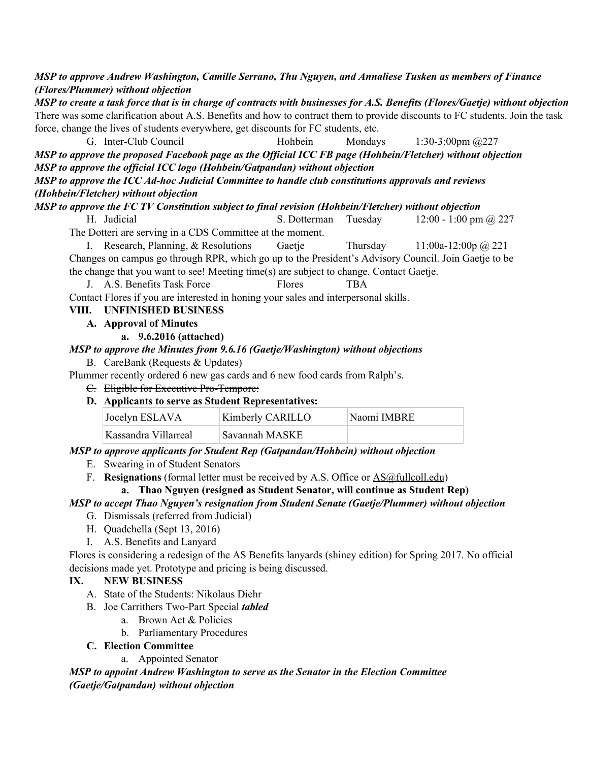*MSP to approve Andrew Washington, Camille Serrano, Thu Nguyen, and Annaliese Tusken as members of Finance (Flores/Plummer) without objection*

*MSP to create a task force that is in charge of contracts with businesses for A.S. Benefits (Flores/Gaetje) without objection* There was some clarification about A.S. Benefits and how to contract them to provide discounts to FC students. Join the task force, change the lives of students everywhere, get discounts for FC students, etc.

G. InterClub Council Hohbein Mondays 1:303:00pm @227 *MSP to approve the proposed Facebook page as the Official ICC FB page (Hohbein/Fletcher) without objection MSP to approve the official ICC logo (Hohbein/Gatpandan) without objection*

*MSP to approve the ICC Ad-hoc Judicial Committee to handle club constitutions approvals and reviews (Hohbein/Fletcher) without objection*

*MSP to approve the FC TV Constitution subject to final revision (Hohbein/Fletcher) without objection*

H. Judicial S. Dotterman Tuesday 12:00 1:00 pm @ 227

The Dotteri are serving in a CDS Committee at the moment.

I. Research, Planning, & Resolutions Gaetje Thursday  $11:00a-12:00p$   $\omega$  221 Changes on campus go through RPR, which go up to the President's Advisory Council. Join Gaetje to be the change that you want to see! Meeting time(s) are subject to change. Contact Gaetje.

J. A.S. Benefits Task Force Flores TBA

Contact Flores if you are interested in honing your sales and interpersonal skills.

## **VIII. UNFINISHED BUSINESS**

- **A. Approval of Minutes**
	- **a. 9.6.2016 (attached)**

## *MSP to approve the Minutes from 9.6.16 (Gaetje/Washington) without objections*

B. CareBank (Requests & Updates)

Plummer recently ordered 6 new gas cards and 6 new food cards from Ralph's.

- C. Eligible for Executive Pro-Tempore:
- **D. Applicants to serve as Student Representatives:**

| Jocelyn ESLAVA       | Kimberly CARILLO | Naomi IMBRE |
|----------------------|------------------|-------------|
| Kassandra Villarreal | Savannah MASKE   |             |

## *MSP to approve applicants for Student Rep (Gatpandan/Hohbein) without objection*

- E. Swearing in of Student Senators
- F. **Resignations** (formal letter must be received by A.S. Office or [AS@fullcoll.edu\)](mailto:AS@fullcoll.edu)

## **a. Thao Nguyen (resigned as Student Senator, will continue as Student Rep)**

## *MSP to accept Thao Nguyen's resignation from Student Senate (Gaetje/Plummer) without objection*

- G. Dismissals (referred from Judicial)
- H. Quadchella (Sept 13, 2016)
- I. A.S. Benefits and Lanyard

Flores is considering a redesign of the AS Benefits lanyards (shiney edition) for Spring 2017. No official decisions made yet. Prototype and pricing is being discussed.

## **IX. NEW BUSINESS**

- A. State of the Students: Nikolaus Diehr
- B. Joe Carrithers Two-Part Special *tabled* 
	- a. Brown Act & Policies
	- b. Parliamentary Procedures

## **C. Election Committee**

a. Appointed Senator

*MSP to appoint Andrew Washington to serve as the Senator in the Election Committee (Gaetje/Gatpandan) without objection*